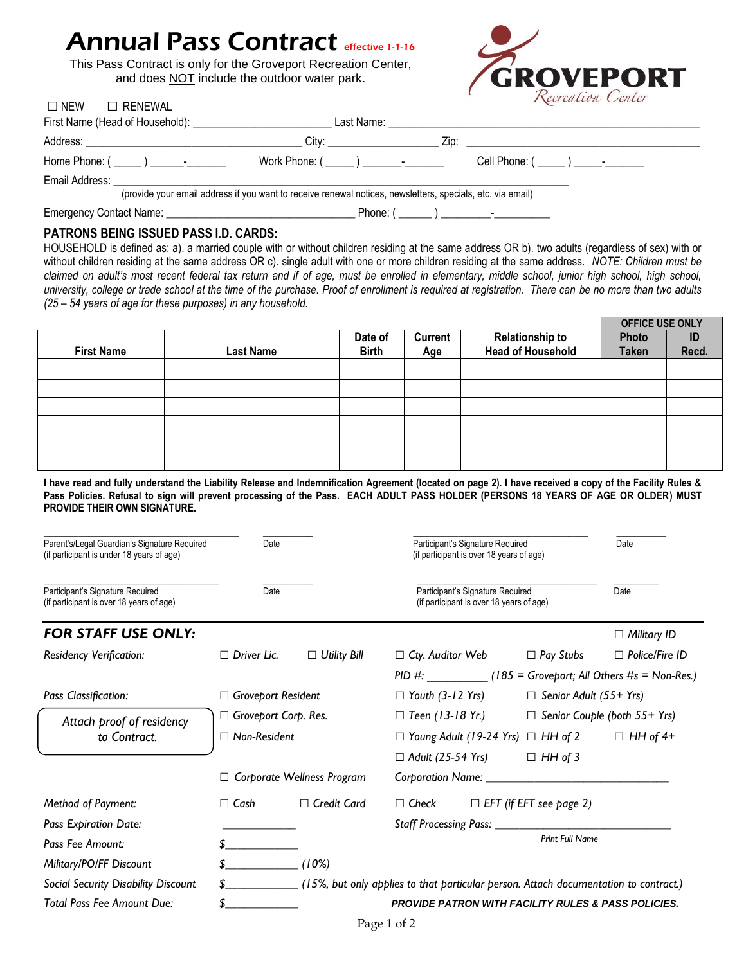# Annual Pass Contract effective 1-1-16

This Pass Contract is only for the Groveport Recreation Center, and does NOT include the outdoor water park.



|                                                                                                            | City: the contract of the contract of the contract of the contract of the contract of the contract of the contract of the contract of the contract of the contract of the contract of the contract of the contract of the cont | $\angle$ ip: $\angle$ in the set of $\angle$ in the set of $\angle$ in the set of $\angle$ in the set of $\angle$ in the set of $\angle$ in the set of $\angle$ in the set of $\angle$ in the set of $\angle$ in the set of $\angle$ in the set of $\angle$ in the set of $\angle$ |  |  |
|------------------------------------------------------------------------------------------------------------|--------------------------------------------------------------------------------------------------------------------------------------------------------------------------------------------------------------------------------|------------------------------------------------------------------------------------------------------------------------------------------------------------------------------------------------------------------------------------------------------------------------------------|--|--|
|                                                                                                            |                                                                                                                                                                                                                                | Cell Phone: ( _____ ) _____-                                                                                                                                                                                                                                                       |  |  |
| Email Address:                                                                                             |                                                                                                                                                                                                                                |                                                                                                                                                                                                                                                                                    |  |  |
| (provide your email address if you want to receive renewal notices, newsletters, specials, etc. via email) |                                                                                                                                                                                                                                |                                                                                                                                                                                                                                                                                    |  |  |
|                                                                                                            |                                                                                                                                                                                                                                |                                                                                                                                                                                                                                                                                    |  |  |

# **PATRONS BEING ISSUED PASS I.D. CARDS:**

□NEW□ RENEWAL

HOUSEHOLD is defined as: a). a married couple with or without children residing at the same address OR b). two adults (regardless of sex) with or without children residing at the same address OR c). single adult with one or more children residing at the same address. *NOTE: Children must be*  claimed on adult's most recent federal tax return and if of age, must be enrolled in elementary, middle school, junior high school, high school, *university, college or trade school at the time of the purchase. Proof of enrollment is required at registration. There can be no more than two adults (25 – 54 years of age for these purposes) in any household.* 

|                   |                  |              |                |                          | <b>OFFICE USE ONLY</b> |       |
|-------------------|------------------|--------------|----------------|--------------------------|------------------------|-------|
|                   |                  | Date of      | <b>Current</b> | <b>Relationship to</b>   | Photo                  | ID    |
| <b>First Name</b> | <b>Last Name</b> | <b>Birth</b> | Age            | <b>Head of Household</b> | <b>Taken</b>           | Recd. |
|                   |                  |              |                |                          |                        |       |
|                   |                  |              |                |                          |                        |       |
|                   |                  |              |                |                          |                        |       |
|                   |                  |              |                |                          |                        |       |
|                   |                  |              |                |                          |                        |       |
|                   |                  |              |                |                          |                        |       |
|                   |                  |              |                |                          |                        |       |

**I have read and fully understand the Liability Release and Indemnification Agreement (located on page 2). I have received a copy of the Facility Rules & Pass Policies. Refusal to sign will prevent processing of the Pass. EACH ADULT PASS HOLDER (PERSONS 18 YEARS OF AGE OR OLDER) MUST PROVIDE THEIR OWN SIGNATURE.** 

| Parent's/Legal Guardian's Signature Required<br>(if participant is under 18 years of age) | Date                        |                                   | Participant's Signature Required<br>(if participant is over 18 years of age)         |  |                                | Date                                                 |
|-------------------------------------------------------------------------------------------|-----------------------------|-----------------------------------|--------------------------------------------------------------------------------------|--|--------------------------------|------------------------------------------------------|
| Participant's Signature Required<br>(if participant is over 18 years of age)              | Date                        |                                   | Participant's Signature Required<br>(if participant is over 18 years of age)         |  |                                | Date                                                 |
| <b>FOR STAFF USE ONLY:</b>                                                                |                             |                                   |                                                                                      |  |                                | $\Box$ Military ID                                   |
| <b>Residency Verification:</b>                                                            | $\Box$ Driver Lic.          | $\Box$ Utility Bill               | $\Box$ Cty. Auditor Web                                                              |  | $\Box$ Pay Stubs               | $\Box$ Police/Fire ID                                |
|                                                                                           |                             |                                   |                                                                                      |  |                                | $PID #:$ (185 = Groveport; All Others #s = Non-Res.) |
| Pass Classification:                                                                      | $\Box$ Groveport Resident   |                                   | $\Box$ Youth (3-12 Yrs)                                                              |  | $\Box$ Senior Adult (55+ Yrs)  |                                                      |
| Attach proof of residency<br>to Contract.                                                 | $\Box$ Groveport Corp. Res. |                                   | $\Box$ Teen (13-18 Yr.)<br>$\Box$ Senior Couple (both 55+ Yrs)                       |  |                                |                                                      |
|                                                                                           | $\Box$ Non-Resident         |                                   | $\Box$ Young Adult (19-24 Yrs) $\Box$ HH of 2 $\Box$ HH of 4+                        |  |                                |                                                      |
|                                                                                           |                             |                                   | $\Box$ Adult (25-54 Yrs)                                                             |  | $\Box$ HH of 3                 |                                                      |
|                                                                                           |                             | $\Box$ Corporate Wellness Program |                                                                                      |  |                                |                                                      |
| Method of Payment:                                                                        | $\Box$ Cash                 | $\Box$ Credit Card                | $\Box$ Check                                                                         |  | $\Box$ EFT (if EFT see page 2) |                                                      |
| <b>Pass Expiration Date:</b>                                                              |                             |                                   |                                                                                      |  |                                |                                                      |
| Pass Fee Amount:                                                                          |                             |                                   |                                                                                      |  | <b>Print Full Name</b>         |                                                      |
| Military/PO/FF Discount                                                                   |                             | (10%)                             |                                                                                      |  |                                |                                                      |
| Social Security Disability Discount                                                       |                             |                                   | (15%, but only applies to that particular person. Attach documentation to contract.) |  |                                |                                                      |
| <b>Total Pass Fee Amount Due:</b>                                                         |                             |                                   | <b>PROVIDE PATRON WITH FACILITY RULES &amp; PASS POLICIES.</b>                       |  |                                |                                                      |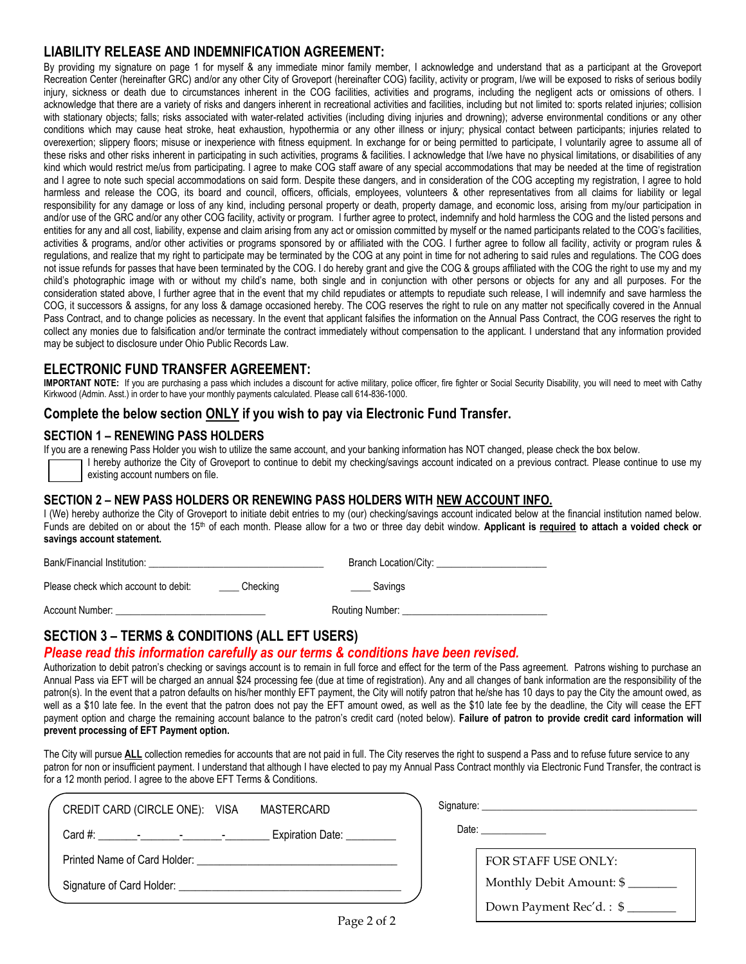# **LIABILITY RELEASE AND INDEMNIFICATION AGREEMENT:**

By providing my signature on page 1 for myself & any immediate minor family member, I acknowledge and understand that as a participant at the Groveport Recreation Center (hereinafter GRC) and/or any other City of Groveport (hereinafter COG) facility, activity or program, I/we will be exposed to risks of serious bodily injury, sickness or death due to circumstances inherent in the COG facilities, activities and programs, including the negligent acts or omissions of others. I acknowledge that there are a variety of risks and dangers inherent in recreational activities and facilities, including but not limited to: sports related injuries; collision with stationary objects; falls; risks associated with water-related activities (including diving injuries and drowning); adverse environmental conditions or any other conditions which may cause heat stroke, heat exhaustion, hypothermia or any other illness or injury; physical contact between participants; injuries related to overexertion; slippery floors; misuse or inexperience with fitness equipment. In exchange for or being permitted to participate, I voluntarily agree to assume all of these risks and other risks inherent in participating in such activities, programs & facilities. I acknowledge that I/we have no physical limitations, or disabilities of any kind which would restrict me/us from participating. I agree to make COG staff aware of any special accommodations that may be needed at the time of registration and I agree to note such special accommodations on said form. Despite these dangers, and in consideration of the COG accepting my registration, I agree to hold harmless and release the COG, its board and council, officers, officials, employees, volunteers & other representatives from all claims for liability or legal responsibility for any damage or loss of any kind, including personal property or death, property damage, and economic loss, arising from my/our participation in and/or use of the GRC and/or any other COG facility, activity or program. I further agree to protect, indemnify and hold harmless the COG and the listed persons and entities for any and all cost, liability, expense and claim arising from any act or omission committed by myself or the named participants related to the COG's facilities, activities & programs, and/or other activities or programs sponsored by or affiliated with the COG. I further agree to follow all facility, activity or program rules & regulations, and realize that my right to participate may be terminated by the COG at any point in time for not adhering to said rules and regulations. The COG does not issue refunds for passes that have been terminated by the COG. I do hereby grant and give the COG & groups affiliated with the COG the right to use my and my child's photographic image with or without my child's name, both single and in conjunction with other persons or objects for any and all purposes. For the consideration stated above, I further agree that in the event that my child repudiates or attempts to repudiate such release, I will indemnify and save harmless the COG, it successors & assigns, for any loss & damage occasioned hereby. The COG reserves the right to rule on any matter not specifically covered in the Annual Pass Contract, and to change policies as necessary. In the event that applicant falsifies the information on the Annual Pass Contract, the COG reserves the right to collect any monies due to falsification and/or terminate the contract immediately without compensation to the applicant. I understand that any information provided may be subject to disclosure under Ohio Public Records Law.

# **ELECTRONIC FUND TRANSFER AGREEMENT:**

**IMPORTANT NOTE:** If you are purchasing a pass which includes a discount for active military, police officer, fire fighter or Social Security Disability, you will need to meet with Cathy Kirkwood (Admin. Asst.) in order to have your monthly payments calculated. Please call 614-836-1000.

# **Complete the below section ONLY if you wish to pay via Electronic Fund Transfer.**

# **SECTION 1 – RENEWING PASS HOLDERS**

If you are a renewing Pass Holder you wish to utilize the same account, and your banking information has NOT changed, please check the box below.

I hereby authorize the City of Groveport to continue to debit my checking/savings account indicated on a previous contract. Please continue to use my existing account numbers on file.

# **SECTION 2 – NEW PASS HOLDERS OR RENEWING PASS HOLDERS WITH NEW ACCOUNT INFO.**

I (We) hereby authorize the City of Groveport to initiate debit entries to my (our) checking/savings account indicated below at the financial institution named below. Funds are debited on or about the 15<sup>th</sup> of each month. Please allow for a two or three day debit window. Applicant is required to attach a voided check or **savings account statement.** 

| Bank/Financial Institution:          |          | Branch Location/City: |
|--------------------------------------|----------|-----------------------|
| Please check which account to debit: | Checking | Savings               |
| Account Number:                      |          | Routing Number:       |

# **SECTION 3 – TERMS & CONDITIONS (ALL EFT USERS)**

# *Please read this information carefully as our terms & conditions have been revised.*

Authorization to debit patron's checking or savings account is to remain in full force and effect for the term of the Pass agreement. Patrons wishing to purchase an Annual Pass via EFT will be charged an annual \$24 processing fee (due at time of registration). Any and all changes of bank information are the responsibility of the patron(s). In the event that a patron defaults on his/her monthly EFT payment, the City will notify patron that he/she has 10 days to pay the City the amount owed, as well as a \$10 late fee. In the event that the patron does not pay the EFT amount owed, as well as the \$10 late fee by the deadline, the City will cease the EFT payment option and charge the remaining account balance to the patron's credit card (noted below). **Failure of patron to provide credit card information will prevent processing of EFT Payment option.** 

The City will pursue **ALL** collection remedies for accounts that are not paid in full. The City reserves the right to suspend a Pass and to refuse future service to any patron for non or insufficient payment. I understand that although I have elected to pay my Annual Pass Contract monthly via Electronic Fund Transfer, the contract is for a 12 month period. I agree to the above EFT Terms & Conditions.

| CREDIT CARD (CIRCLE ONE): VISA<br>MASTERCARD | Signature: the contract of the contract of the contract of the contract of the contract of the contract of the contract of the contract of the contract of the contract of the contract of the contract of the contract of the |
|----------------------------------------------|--------------------------------------------------------------------------------------------------------------------------------------------------------------------------------------------------------------------------------|
| Expiration Date: <u>_________</u>            | Date: ______________                                                                                                                                                                                                           |
|                                              | FOR STAFF USE ONLY:                                                                                                                                                                                                            |
|                                              | Monthly Debit Amount: \$                                                                                                                                                                                                       |
|                                              | Down Payment Rec'd.: \$                                                                                                                                                                                                        |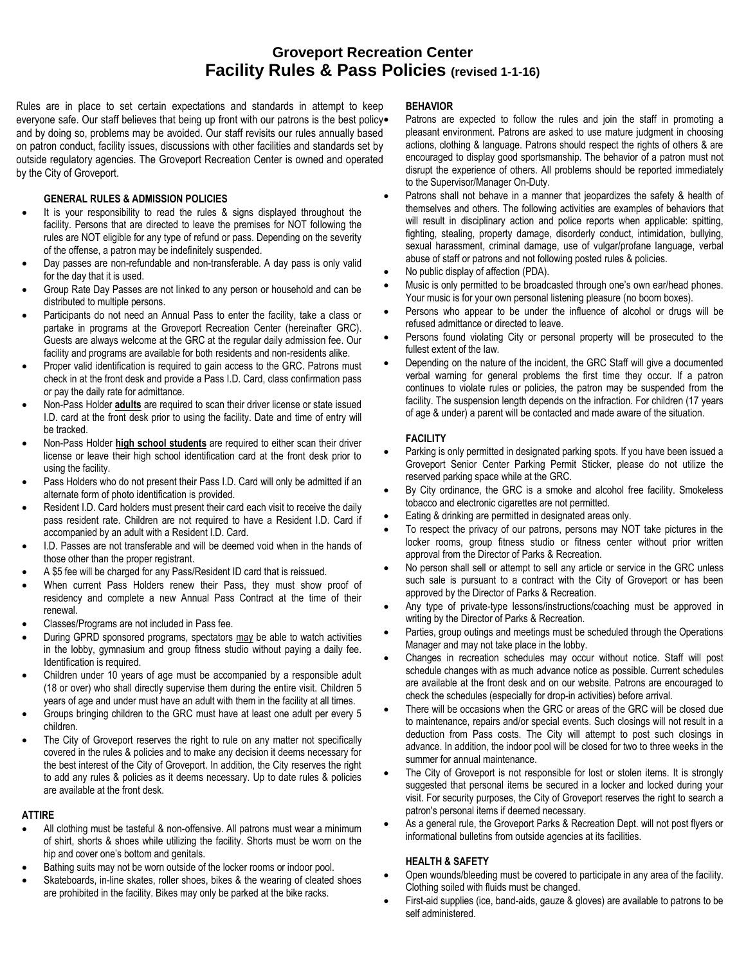Rules are in place to set certain expectations and standards in attempt to keep everyone safe. Our staff believes that being up front with our patrons is the best policy. and by doing so, problems may be avoided. Our staff revisits our rules annually based on patron conduct, facility issues, discussions with other facilities and standards set by outside regulatory agencies. The Groveport Recreation Center is owned and operated by the City of Groveport.

### **GENERAL RULES & ADMISSION POLICIES**

- It is your responsibility to read the rules & signs displayed throughout the facility. Persons that are directed to leave the premises for NOT following the rules are NOT eligible for any type of refund or pass. Depending on the severity of the offense, a patron may be indefinitely suspended.
- Day passes are non-refundable and non-transferable. A day pass is only valid for the day that it is used.
- Group Rate Day Passes are not linked to any person or household and can be distributed to multiple persons.
- Participants do not need an Annual Pass to enter the facility, take a class or partake in programs at the Groveport Recreation Center (hereinafter GRC). Guests are always welcome at the GRC at the regular daily admission fee. Our facility and programs are available for both residents and non-residents alike.
- Proper valid identification is required to gain access to the GRC. Patrons must check in at the front desk and provide a Pass I.D. Card, class confirmation pass or pay the daily rate for admittance.
- Non-Pass Holder **adults** are required to scan their driver license or state issued I.D. card at the front desk prior to using the facility. Date and time of entry will be tracked.
- Non-Pass Holder **high school students** are required to either scan their driver license or leave their high school identification card at the front desk prior to using the facility.
- Pass Holders who do not present their Pass I.D. Card will only be admitted if an alternate form of photo identification is provided.
- Resident I.D. Card holders must present their card each visit to receive the daily pass resident rate. Children are not required to have a Resident I.D. Card if accompanied by an adult with a Resident I.D. Card.
- I.D. Passes are not transferable and will be deemed void when in the hands of those other than the proper registrant.
- A \$5 fee will be charged for any Pass/Resident ID card that is reissued.
- When current Pass Holders renew their Pass, they must show proof of residency and complete a new Annual Pass Contract at the time of their renewal.
- Classes/Programs are not included in Pass fee.
- During GPRD sponsored programs, spectators may be able to watch activities in the lobby, gymnasium and group fitness studio without paying a daily fee. Identification is required.
- Children under 10 years of age must be accompanied by a responsible adult (18 or over) who shall directly supervise them during the entire visit. Children 5 years of age and under must have an adult with them in the facility at all times.
- Groups bringing children to the GRC must have at least one adult per every 5 children.
- The City of Groveport reserves the right to rule on any matter not specifically covered in the rules & policies and to make any decision it deems necessary for the best interest of the City of Groveport. In addition, the City reserves the right to add any rules & policies as it deems necessary. Up to date rules & policies are available at the front desk.

### **ATTIRE**

- All clothing must be tasteful & non-offensive. All patrons must wear a minimum of shirt, shorts & shoes while utilizing the facility. Shorts must be worn on the hip and cover one's bottom and genitals.
- Bathing suits may not be worn outside of the locker rooms or indoor pool.
- Skateboards, in-line skates, roller shoes, bikes & the wearing of cleated shoes are prohibited in the facility. Bikes may only be parked at the bike racks.

### **BEHAVIOR**

 Patrons are expected to follow the rules and join the staff in promoting a pleasant environment. Patrons are asked to use mature judgment in choosing actions, clothing & language. Patrons should respect the rights of others & are encouraged to display good sportsmanship. The behavior of a patron must not disrupt the experience of others. All problems should be reported immediately to the Supervisor/Manager On-Duty.

- Patrons shall not behave in a manner that jeopardizes the safety & health of themselves and others. The following activities are examples of behaviors that will result in disciplinary action and police reports when applicable: spitting, fighting, stealing, property damage, disorderly conduct, intimidation, bullying, sexual harassment, criminal damage, use of vulgar/profane language, verbal abuse of staff or patrons and not following posted rules & policies.
- No public display of affection (PDA).
- Music is only permitted to be broadcasted through one's own ear/head phones. Your music is for your own personal listening pleasure (no boom boxes).
- Persons who appear to be under the influence of alcohol or drugs will be refused admittance or directed to leave.
- Persons found violating City or personal property will be prosecuted to the fullest extent of the law.
- Depending on the nature of the incident, the GRC Staff will give a documented verbal warning for general problems the first time they occur. If a patron continues to violate rules or policies, the patron may be suspended from the facility. The suspension length depends on the infraction. For children (17 years of age & under) a parent will be contacted and made aware of the situation.

# **FACILITY**

- Parking is only permitted in designated parking spots. If you have been issued a Groveport Senior Center Parking Permit Sticker, please do not utilize the reserved parking space while at the GRC.
- By City ordinance, the GRC is a smoke and alcohol free facility. Smokeless tobacco and electronic cigarettes are not permitted.
- Eating & drinking are permitted in designated areas only.
- To respect the privacy of our patrons, persons may NOT take pictures in the locker rooms, group fitness studio or fitness center without prior written approval from the Director of Parks & Recreation.
- No person shall sell or attempt to sell any article or service in the GRC unless such sale is pursuant to a contract with the City of Groveport or has been approved by the Director of Parks & Recreation.
- Any type of private-type lessons/instructions/coaching must be approved in writing by the Director of Parks & Recreation.
- Parties, group outings and meetings must be scheduled through the Operations Manager and may not take place in the lobby.
- Changes in recreation schedules may occur without notice. Staff will post schedule changes with as much advance notice as possible. Current schedules are available at the front desk and on our website. Patrons are encouraged to check the schedules (especially for drop-in activities) before arrival.
- There will be occasions when the GRC or areas of the GRC will be closed due to maintenance, repairs and/or special events. Such closings will not result in a deduction from Pass costs. The City will attempt to post such closings in advance. In addition, the indoor pool will be closed for two to three weeks in the summer for annual maintenance.
- The City of Groveport is not responsible for lost or stolen items. It is strongly suggested that personal items be secured in a locker and locked during your visit. For security purposes, the City of Groveport reserves the right to search a patron's personal items if deemed necessary.
- As a general rule, the Groveport Parks & Recreation Dept. will not post flyers or informational bulletins from outside agencies at its facilities.

### **HEALTH & SAFETY**

- Open wounds/bleeding must be covered to participate in any area of the facility. Clothing soiled with fluids must be changed.
- First-aid supplies (ice, band-aids, gauze & gloves) are available to patrons to be self administered.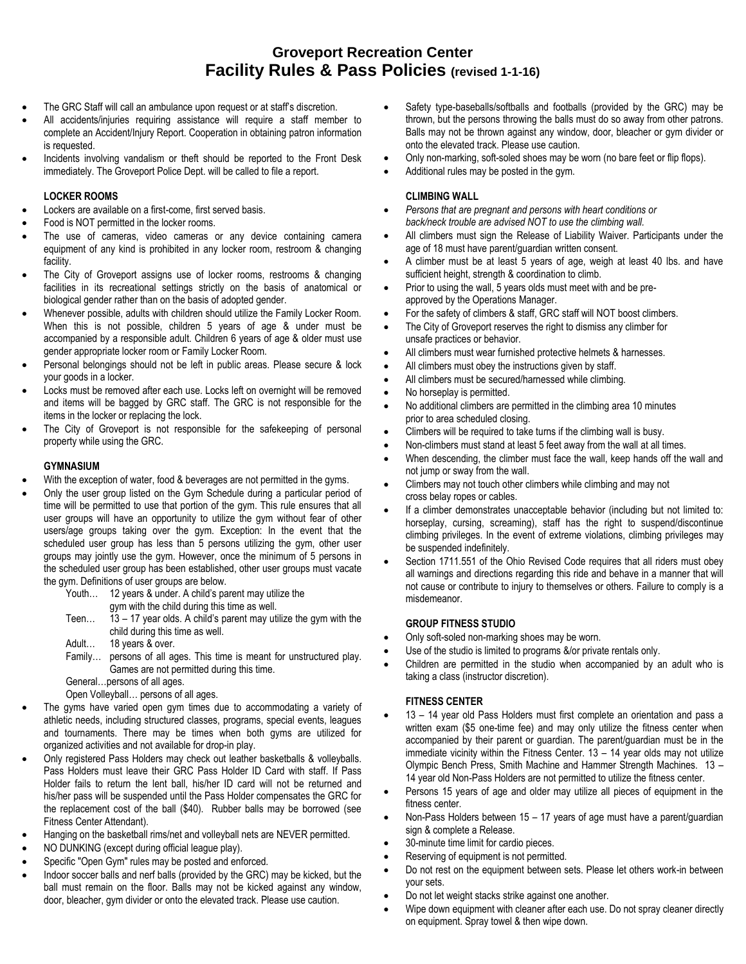- The GRC Staff will call an ambulance upon request or at staff's discretion.
- All accidents/injuries requiring assistance will require a staff member to complete an Accident/Injury Report. Cooperation in obtaining patron information is requested.
- Incidents involving vandalism or theft should be reported to the Front Desk immediately. The Groveport Police Dept. will be called to file a report.

# **LOCKER ROOMS**

- Lockers are available on a first-come, first served basis.
- Food is NOT permitted in the locker rooms.
- The use of cameras, video cameras or any device containing camera equipment of any kind is prohibited in any locker room, restroom & changing facility.
- The City of Groveport assigns use of locker rooms, restrooms & changing facilities in its recreational settings strictly on the basis of anatomical or biological gender rather than on the basis of adopted gender.
- Whenever possible, adults with children should utilize the Family Locker Room. When this is not possible, children 5 years of age & under must be accompanied by a responsible adult. Children 6 years of age & older must use gender appropriate locker room or Family Locker Room.
- Personal belongings should not be left in public areas. Please secure & lock your goods in a locker.
- Locks must be removed after each use. Locks left on overnight will be removed and items will be bagged by GRC staff. The GRC is not responsible for the items in the locker or replacing the lock.
- The City of Groveport is not responsible for the safekeeping of personal property while using the GRC.

### **GYMNASIUM**

- With the exception of water, food & beverages are not permitted in the gyms.
- Only the user group listed on the Gym Schedule during a particular period of time will be permitted to use that portion of the gym. This rule ensures that all user groups will have an opportunity to utilize the gym without fear of other users/age groups taking over the gym. Exception: In the event that the scheduled user group has less than 5 persons utilizing the gym, other user groups may jointly use the gym. However, once the minimum of 5 persons in the scheduled user group has been established, other user groups must vacate the gym. Definitions of user groups are below.
	- Youth… 12 years & under. A child's parent may utilize the
		- gym with the child during this time as well.
	- Teen...  $13 17$  year olds. A child's parent may utilize the gym with the child during this time as well.
	- Adult… 18 years & over.
	- Family… persons of all ages. This time is meant for unstructured play. Games are not permitted during this time.
	- General…persons of all ages.

Open Volleyball… persons of all ages.

- The gyms have varied open gym times due to accommodating a variety of athletic needs, including structured classes, programs, special events, leagues and tournaments. There may be times when both gyms are utilized for organized activities and not available for drop-in play.
- Only registered Pass Holders may check out leather basketballs & volleyballs. Pass Holders must leave their GRC Pass Holder ID Card with staff. If Pass Holder fails to return the lent ball, his/her ID card will not be returned and his/her pass will be suspended until the Pass Holder compensates the GRC for the replacement cost of the ball (\$40). Rubber balls may be borrowed (see Fitness Center Attendant).
- Hanging on the basketball rims/net and volleyball nets are NEVER permitted.
- NO DUNKING (except during official league play).
- Specific "Open Gym" rules may be posted and enforced.
- Indoor soccer balls and nerf balls (provided by the GRC) may be kicked, but the ball must remain on the floor. Balls may not be kicked against any window, door, bleacher, gym divider or onto the elevated track. Please use caution.
- Safety type-baseballs/softballs and footballs (provided by the GRC) may be thrown, but the persons throwing the balls must do so away from other patrons. Balls may not be thrown against any window, door, bleacher or gym divider or onto the elevated track. Please use caution.
- Only non-marking, soft-soled shoes may be worn (no bare feet or flip flops).
- Additional rules may be posted in the gym.

# **CLIMBING WALL**

- *Persons that are pregnant and persons with heart conditions or back/neck trouble are advised NOT to use the climbing wall.*
- All climbers must sign the Release of Liability Waiver. Participants under the age of 18 must have parent/guardian written consent.
- A climber must be at least 5 years of age, weigh at least 40 lbs. and have sufficient height, strength & coordination to climb.
- Prior to using the wall, 5 years olds must meet with and be preapproved by the Operations Manager.
- For the safety of climbers & staff, GRC staff will NOT boost climbers.
- The City of Groveport reserves the right to dismiss any climber for unsafe practices or behavior.
- All climbers must wear furnished protective helmets & harnesses.
- All climbers must obey the instructions given by staff.
- All climbers must be secured/harnessed while climbing.
- No horseplay is permitted.
- No additional climbers are permitted in the climbing area 10 minutes prior to area scheduled closing.
- Climbers will be required to take turns if the climbing wall is busy.
- Non-climbers must stand at least 5 feet away from the wall at all times.
- When descending, the climber must face the wall, keep hands off the wall and not jump or sway from the wall.
- Climbers may not touch other climbers while climbing and may not cross belay ropes or cables.
- If a climber demonstrates unacceptable behavior (including but not limited to: horseplay, cursing, screaming), staff has the right to suspend/discontinue climbing privileges. In the event of extreme violations, climbing privileges may be suspended indefinitely.
- Section 1711.551 of the Ohio Revised Code requires that all riders must obey all warnings and directions regarding this ride and behave in a manner that will not cause or contribute to injury to themselves or others. Failure to comply is a misdemeanor.

# **GROUP FITNESS STUDIO**

- Only soft-soled non-marking shoes may be worn.
- Use of the studio is limited to programs &/or private rentals only.
- Children are permitted in the studio when accompanied by an adult who is taking a class (instructor discretion).

# **FITNESS CENTER**

- 13 14 year old Pass Holders must first complete an orientation and pass a written exam (\$5 one-time fee) and may only utilize the fitness center when accompanied by their parent or guardian. The parent/guardian must be in the immediate vicinity within the Fitness Center. 13 – 14 year olds may not utilize Olympic Bench Press, Smith Machine and Hammer Strength Machines. 13 – 14 year old Non-Pass Holders are not permitted to utilize the fitness center.
- Persons 15 years of age and older may utilize all pieces of equipment in the fitness center.
- Non-Pass Holders between 15 17 years of age must have a parent/guardian sign & complete a Release.
- 30-minute time limit for cardio pieces.
- Reserving of equipment is not permitted.
- Do not rest on the equipment between sets. Please let others work-in between your sets.
- Do not let weight stacks strike against one another.
- Wipe down equipment with cleaner after each use. Do not spray cleaner directly on equipment. Spray towel & then wipe down.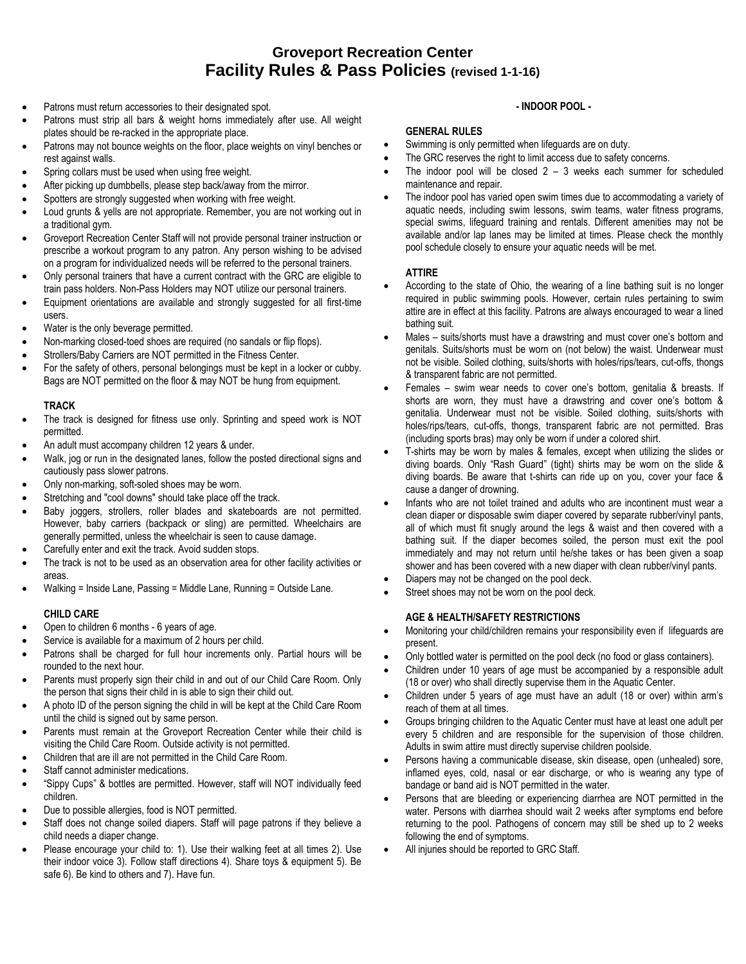- Patrons must return accessories to their designated spot.
- Patrons must strip all bars & weight horns immediately after use. All weight plates should be re-racked in the appropriate place.
- Patrons may not bounce weights on the floor, place weights on vinyl benches or rest against walls.
- Spring collars must be used when using free weight.
- After picking up dumbbells, please step back/away from the mirror.
- Spotters are strongly suggested when working with free weight.
- Loud grunts & yells are not appropriate. Remember, you are not working out in a traditional gym.
- Groveport Recreation Center Staff will not provide personal trainer instruction or prescribe a workout program to any patron. Any person wishing to be advised on a program for individualized needs will be referred to the personal trainers.
- Only personal trainers that have a current contract with the GRC are eligible to train pass holders. Non-Pass Holders may NOT utilize our personal trainers.
- Equipment orientations are available and strongly suggested for all first-time users.
- Water is the only beverage permitted.
- Non-marking closed-toed shoes are required (no sandals or flip flops).
- Strollers/Baby Carriers are NOT permitted in the Fitness Center.
- For the safety of others, personal belongings must be kept in a locker or cubby. Bags are NOT permitted on the floor & may NOT be hung from equipment.

#### **TRACK**

- The track is designed for fitness use only. Sprinting and speed work is NOT permitted.
- An adult must accompany children 12 years & under.
- Walk, jog or run in the designated lanes, follow the posted directional signs and cautiously pass slower patrons.
- Only non-marking, soft-soled shoes may be worn.
- Stretching and "cool downs" should take place off the track.
- Baby joggers, strollers, roller blades and skateboards are not permitted. However, baby carriers (backpack or sling) are permitted. Wheelchairs are generally permitted, unless the wheelchair is seen to cause damage.
- Carefully enter and exit the track. Avoid sudden stops.
- The track is not to be used as an observation area for other facility activities or areas.
- Walking = Inside Lane, Passing = Middle Lane, Running = Outside Lane.

### **CHILD CARE**

- Open to children 6 months 6 years of age.
- Service is available for a maximum of 2 hours per child.
- Patrons shall be charged for full hour increments only. Partial hours will be rounded to the next hour.
- Parents must properly sign their child in and out of our Child Care Room. Only the person that signs their child in is able to sign their child out.
- A photo ID of the person signing the child in will be kept at the Child Care Room until the child is signed out by same person.
- Parents must remain at the Groveport Recreation Center while their child is visiting the Child Care Room. Outside activity is not permitted.
- Children that are ill are not permitted in the Child Care Room.
- Staff cannot administer medications.
- "Sippy Cups" & bottles are permitted. However, staff will NOT individually feed children.
- Due to possible allergies, food is NOT permitted.
- Staff does not change soiled diapers. Staff will page patrons if they believe a child needs a diaper change.
- Please encourage your child to: 1). Use their walking feet at all times 2). Use their indoor voice 3). Follow staff directions 4). Share toys & equipment 5). Be safe 6). Be kind to others and 7). Have fun.

### **- INDOOR POOL -**

### **GENERAL RULES**

- Swimming is only permitted when lifeguards are on duty.
- The GRC reserves the right to limit access due to safety concerns.
- The indoor pool will be closed  $2 3$  weeks each summer for scheduled maintenance and repair.
- The indoor pool has varied open swim times due to accommodating a variety of aquatic needs, including swim lessons, swim teams, water fitness programs, special swims, lifeguard training and rentals. Different amenities may not be available and/or lap lanes may be limited at times. Please check the monthly pool schedule closely to ensure your aquatic needs will be met.

### **ATTIRE**

- According to the state of Ohio, the wearing of a line bathing suit is no longer required in public swimming pools. However, certain rules pertaining to swim attire are in effect at this facility. Patrons are always encouraged to wear a lined bathing suit.
- Males suits/shorts must have a drawstring and must cover one's bottom and genitals. Suits/shorts must be worn on (not below) the waist. Underwear must not be visible. Soiled clothing, suits/shorts with holes/rips/tears, cut-offs, thongs & transparent fabric are not permitted.
- Females swim wear needs to cover one's bottom, genitalia & breasts. If shorts are worn, they must have a drawstring and cover one's bottom & genitalia. Underwear must not be visible. Soiled clothing, suits/shorts with holes/rips/tears, cut-offs, thongs, transparent fabric are not permitted. Bras (including sports bras) may only be worn if under a colored shirt.
- T-shirts may be worn by males & females, except when utilizing the slides or diving boards. Only "Rash Guard" (tight) shirts may be worn on the slide & diving boards. Be aware that t-shirts can ride up on you, cover your face & cause a danger of drowning.
- Infants who are not toilet trained and adults who are incontinent must wear a clean diaper or disposable swim diaper covered by separate rubber/vinyl pants, all of which must fit snugly around the legs & waist and then covered with a bathing suit. If the diaper becomes soiled, the person must exit the pool immediately and may not return until he/she takes or has been given a soap shower and has been covered with a new diaper with clean rubber/vinyl pants.
- Diapers may not be changed on the pool deck.
- Street shoes may not be worn on the pool deck.

### **AGE & HEALTH/SAFETY RESTRICTIONS**

- Monitoring your child/children remains your responsibility even if lifeguards are present.
- Only bottled water is permitted on the pool deck (no food or glass containers).
- Children under 10 years of age must be accompanied by a responsible adult (18 or over) who shall directly supervise them in the Aquatic Center.
- Children under 5 years of age must have an adult (18 or over) within arm's reach of them at all times.
- Groups bringing children to the Aquatic Center must have at least one adult per every 5 children and are responsible for the supervision of those children. Adults in swim attire must directly supervise children poolside.
- Persons having a communicable disease, skin disease, open (unhealed) sore, inflamed eyes, cold, nasal or ear discharge, or who is wearing any type of bandage or band aid is NOT permitted in the water.
- Persons that are bleeding or experiencing diarrhea are NOT permitted in the water. Persons with diarrhea should wait 2 weeks after symptoms end before returning to the pool. Pathogens of concern may still be shed up to 2 weeks following the end of symptoms.
- All injuries should be reported to GRC Staff.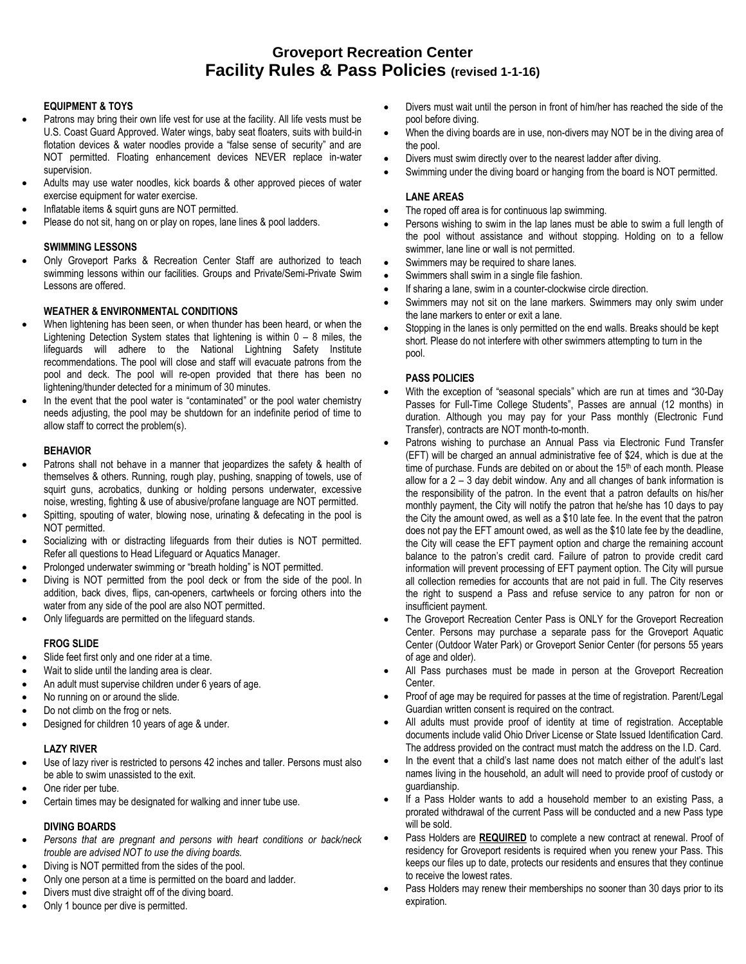### **EQUIPMENT & TOYS**

- Patrons may bring their own life vest for use at the facility. All life vests must be U.S. Coast Guard Approved. Water wings, baby seat floaters, suits with build-in flotation devices & water noodles provide a "false sense of security" and are NOT permitted. Floating enhancement devices NEVER replace in-water supervision.
- Adults may use water noodles, kick boards & other approved pieces of water exercise equipment for water exercise.
- Inflatable items & squirt guns are NOT permitted.
- Please do not sit, hang on or play on ropes, lane lines & pool ladders.

### **SWIMMING LESSONS**

 Only Groveport Parks & Recreation Center Staff are authorized to teach swimming lessons within our facilities. Groups and Private/Semi-Private Swim Lessons are offered.

### **WEATHER & ENVIRONMENTAL CONDITIONS**

- When lightening has been seen, or when thunder has been heard, or when the Lightening Detection System states that lightening is within 0 – 8 miles, the lifeguards will adhere to the National Lightning Safety Institute recommendations. The pool will close and staff will evacuate patrons from the pool and deck. The pool will re-open provided that there has been no lightening/thunder detected for a minimum of 30 minutes.
- In the event that the pool water is "contaminated" or the pool water chemistry needs adjusting, the pool may be shutdown for an indefinite period of time to allow staff to correct the problem(s).

#### **BEHAVIOR**

- Patrons shall not behave in a manner that jeopardizes the safety & health of themselves & others. Running, rough play, pushing, snapping of towels, use of squirt guns, acrobatics, dunking or holding persons underwater, excessive noise, wresting, fighting & use of abusive/profane language are NOT permitted.
- Spitting, spouting of water, blowing nose, urinating & defecating in the pool is NOT permitted.
- Socializing with or distracting lifeguards from their duties is NOT permitted. Refer all questions to Head Lifeguard or Aquatics Manager.
- Prolonged underwater swimming or "breath holding" is NOT permitted.
- Diving is NOT permitted from the pool deck or from the side of the pool. In addition, back dives, flips, can-openers, cartwheels or forcing others into the water from any side of the pool are also NOT permitted.
- Only lifeguards are permitted on the lifeguard stands.

#### **FROG SLIDE**

- Slide feet first only and one rider at a time.
- Wait to slide until the landing area is clear.
- An adult must supervise children under 6 years of age.
- No running on or around the slide.
- Do not climb on the frog or nets.
- Designed for children 10 years of age & under.

### **LAZY RIVER**

- Use of lazy river is restricted to persons 42 inches and taller. Persons must also be able to swim unassisted to the exit.
- One rider per tube.
- Certain times may be designated for walking and inner tube use.

### **DIVING BOARDS**

- *Persons that are pregnant and persons with heart conditions or back/neck trouble are advised NOT to use the diving boards.*
- Diving is NOT permitted from the sides of the pool.
- Only one person at a time is permitted on the board and ladder.
- Divers must dive straight off of the diving board.
- Only 1 bounce per dive is permitted.
- Divers must wait until the person in front of him/her has reached the side of the pool before diving.
- When the diving boards are in use, non-divers may NOT be in the diving area of the pool.
- Divers must swim directly over to the nearest ladder after diving.
- Swimming under the diving board or hanging from the board is NOT permitted.

#### **LANE AREAS**

- The roped off area is for continuous lap swimming.
- Persons wishing to swim in the lap lanes must be able to swim a full length of the pool without assistance and without stopping. Holding on to a fellow swimmer, lane line or wall is not permitted.
- Swimmers may be required to share lanes.
- Swimmers shall swim in a single file fashion.
- If sharing a lane, swim in a counter-clockwise circle direction.
- Swimmers may not sit on the lane markers. Swimmers may only swim under the lane markers to enter or exit a lane.
- Stopping in the lanes is only permitted on the end walls. Breaks should be kept short. Please do not interfere with other swimmers attempting to turn in the pool.

### **PASS POLICIES**

- With the exception of "seasonal specials" which are run at times and "30-Day Passes for Full-Time College Students", Passes are annual (12 months) in duration. Although you may pay for your Pass monthly (Electronic Fund Transfer), contracts are NOT month-to-month.
- Patrons wishing to purchase an Annual Pass via Electronic Fund Transfer (EFT) will be charged an annual administrative fee of \$24, which is due at the time of purchase. Funds are debited on or about the 15<sup>th</sup> of each month. Please allow for a 2 – 3 day debit window. Any and all changes of bank information is the responsibility of the patron. In the event that a patron defaults on his/her monthly payment, the City will notify the patron that he/she has 10 days to pay the City the amount owed, as well as a \$10 late fee. In the event that the patron does not pay the EFT amount owed, as well as the \$10 late fee by the deadline, the City will cease the EFT payment option and charge the remaining account balance to the patron's credit card. Failure of patron to provide credit card information will prevent processing of EFT payment option. The City will pursue all collection remedies for accounts that are not paid in full. The City reserves the right to suspend a Pass and refuse service to any patron for non or insufficient payment.
- The Groveport Recreation Center Pass is ONLY for the Groveport Recreation Center. Persons may purchase a separate pass for the Groveport Aquatic Center (Outdoor Water Park) or Groveport Senior Center (for persons 55 years of age and older).
- All Pass purchases must be made in person at the Groveport Recreation Center.
- Proof of age may be required for passes at the time of registration. Parent/Legal Guardian written consent is required on the contract.
- All adults must provide proof of identity at time of registration. Acceptable documents include valid Ohio Driver License or State Issued Identification Card. The address provided on the contract must match the address on the I.D. Card.
- In the event that a child's last name does not match either of the adult's last names living in the household, an adult will need to provide proof of custody or guardianship.
- If a Pass Holder wants to add a household member to an existing Pass, a prorated withdrawal of the current Pass will be conducted and a new Pass type will be sold.
- Pass Holders are **REQUIRED** to complete a new contract at renewal. Proof of residency for Groveport residents is required when you renew your Pass. This keeps our files up to date, protects our residents and ensures that they continue to receive the lowest rates.
- Pass Holders may renew their memberships no sooner than 30 days prior to its expiration.